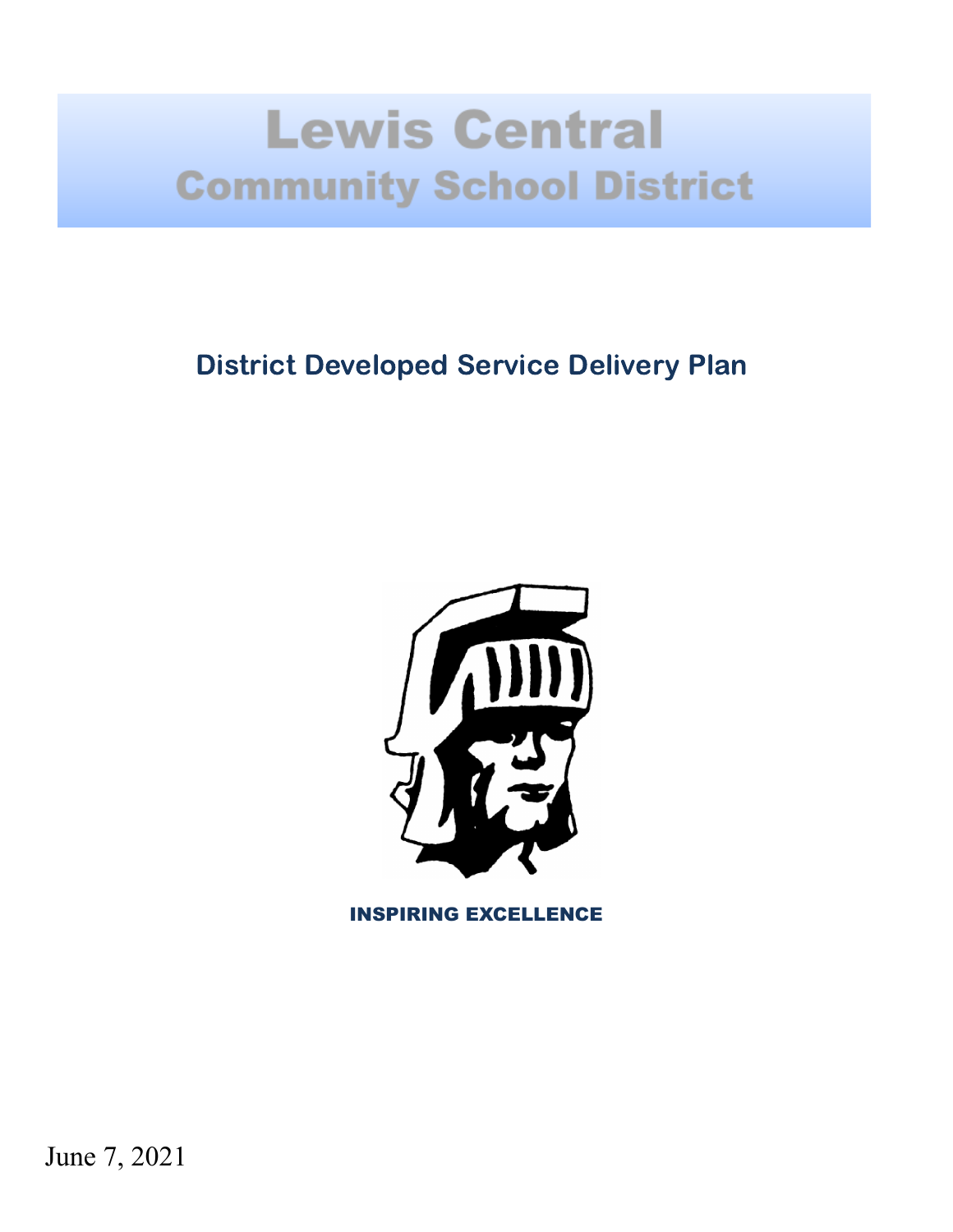# **Lewis Central Community School District**

### District Developed Service Delivery Plan



INSPIRING EXCELLENCE

June 7, 2021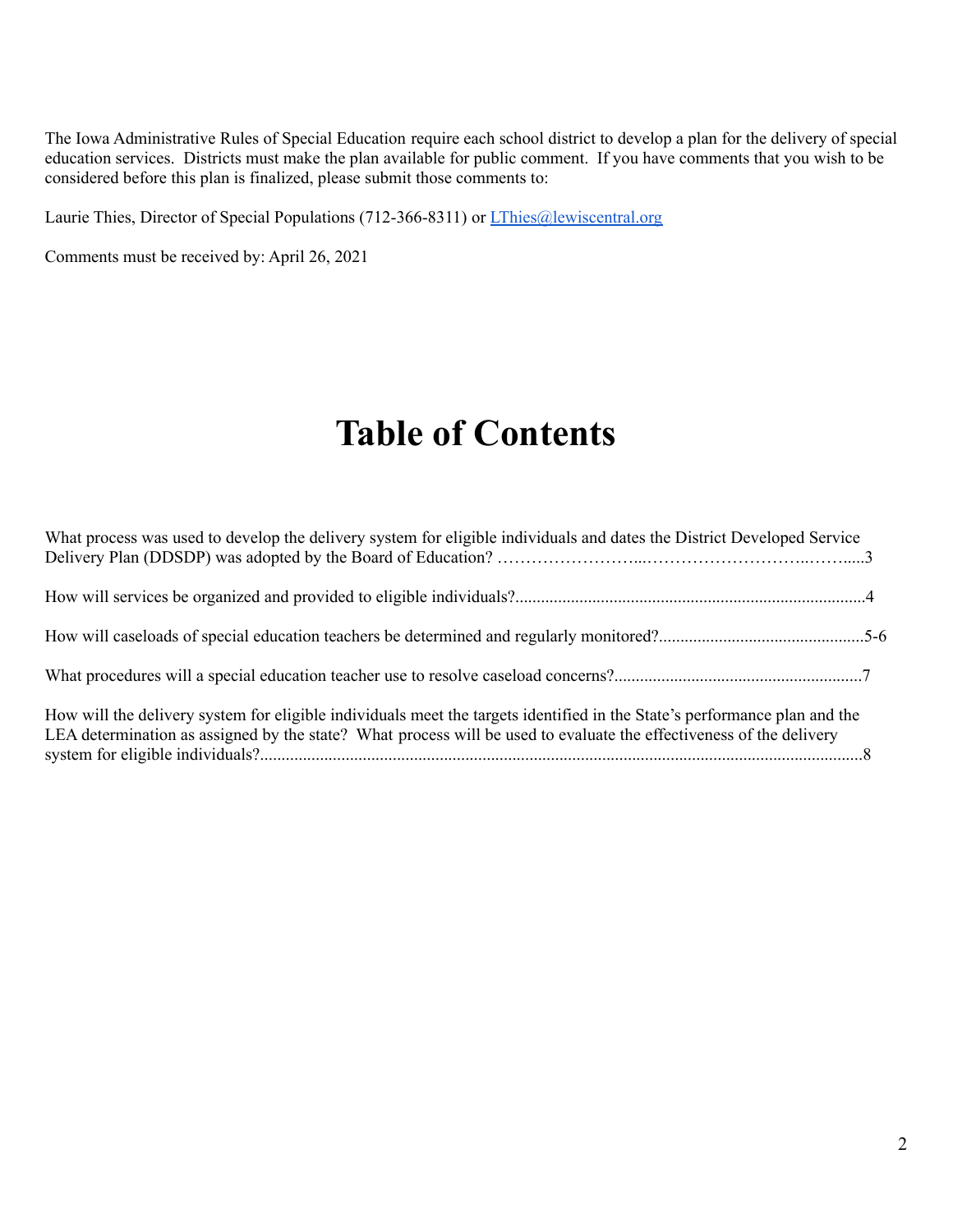The Iowa Administrative Rules of Special Education require each school district to develop a plan for the delivery of special education services. Districts must make the plan available for public comment. If you have comments that you wish to be considered before this plan is finalized, please submit those comments to:

Laurie Thies, Director of Special Populations (712-366-8311) or *[LThies@lewiscentral.org](mailto:LThies@lewiscentral.org)* 

Comments must be received by: April 26, 2021

## **Table of Contents**

| What process was used to develop the delivery system for eligible individuals and dates the District Developed Service                                                                                                                           |  |
|--------------------------------------------------------------------------------------------------------------------------------------------------------------------------------------------------------------------------------------------------|--|
|                                                                                                                                                                                                                                                  |  |
|                                                                                                                                                                                                                                                  |  |
|                                                                                                                                                                                                                                                  |  |
| How will the delivery system for eligible individuals meet the targets identified in the State's performance plan and the<br>LEA determination as assigned by the state? What process will be used to evaluate the effectiveness of the delivery |  |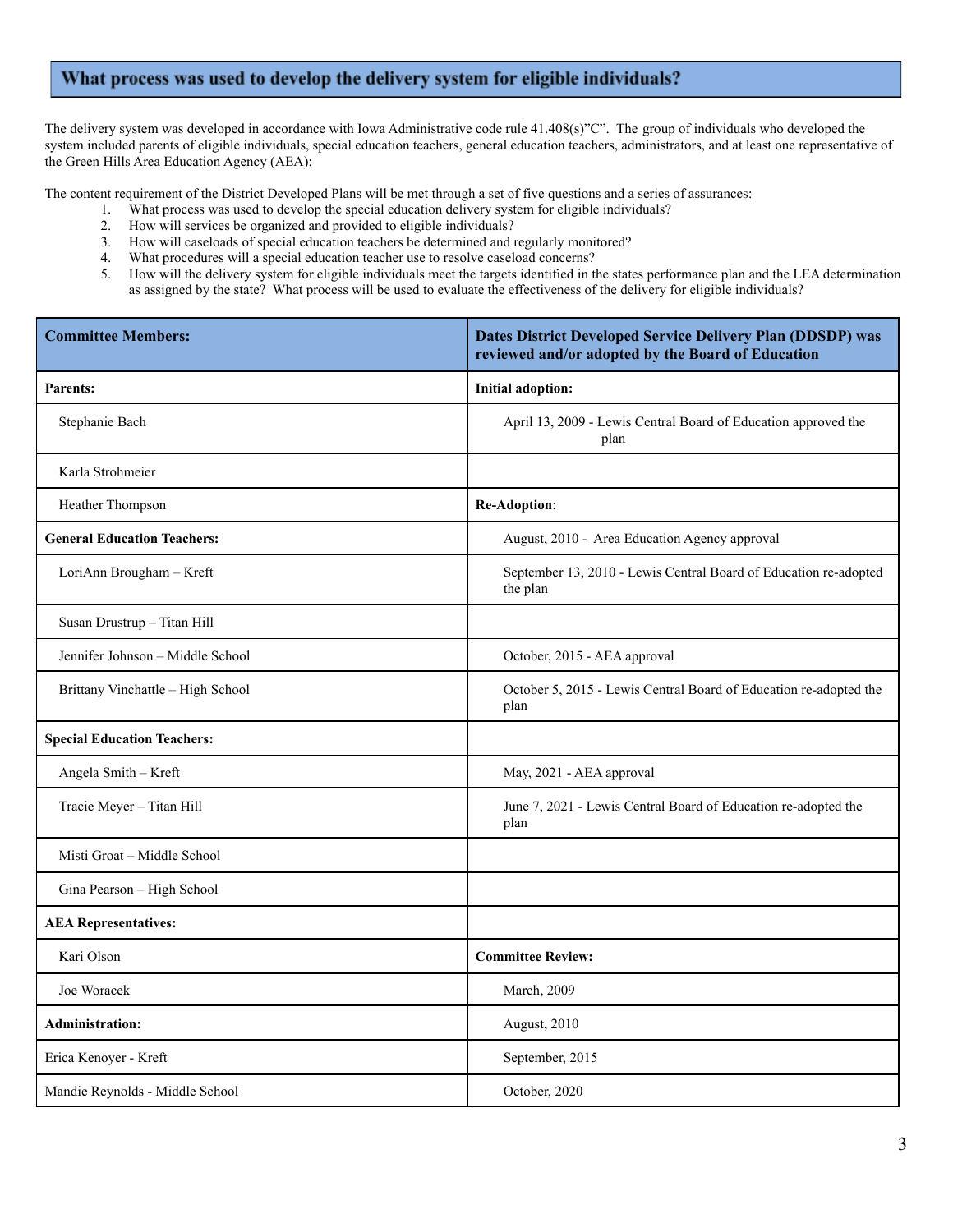#### What process was used to develop the delivery system for eligible individuals?

The delivery system was developed in accordance with Iowa Administrative code rule 41.408(s)"C". The group of individuals who developed the system included parents of eligible individuals, special education teachers, general education teachers, administrators, and at least one representative of the Green Hills Area Education Agency (AEA):

The content requirement of the District Developed Plans will be met through a set of five questions and a series of assurances:

- 1. What process was used to develop the special education delivery system for eligible individuals?
- 2. How will services be organized and provided to eligible individuals?
- 3. How will caseloads of special education teachers be determined and regularly monitored?
- 4. What procedures will a special education teacher use to resolve caseload concerns?
- 5. How will the delivery system for eligible individuals meet the targets identified in the states performance plan and the LEA determination as assigned by the state? What process will be used to evaluate the effectiveness of the delivery for eligible individuals?

| <b>Committee Members:</b>          | Dates District Developed Service Delivery Plan (DDSDP) was<br>reviewed and/or adopted by the Board of Education |  |  |  |
|------------------------------------|-----------------------------------------------------------------------------------------------------------------|--|--|--|
| <b>Parents:</b>                    | <b>Initial adoption:</b>                                                                                        |  |  |  |
| Stephanie Bach                     | April 13, 2009 - Lewis Central Board of Education approved the<br>plan                                          |  |  |  |
| Karla Strohmeier                   |                                                                                                                 |  |  |  |
| Heather Thompson                   | Re-Adoption:                                                                                                    |  |  |  |
| <b>General Education Teachers:</b> | August, 2010 - Area Education Agency approval                                                                   |  |  |  |
| LoriAnn Brougham - Kreft           | September 13, 2010 - Lewis Central Board of Education re-adopted<br>the plan                                    |  |  |  |
| Susan Drustrup - Titan Hill        |                                                                                                                 |  |  |  |
| Jennifer Johnson - Middle School   | October, 2015 - AEA approval                                                                                    |  |  |  |
| Brittany Vinchattle - High School  | October 5, 2015 - Lewis Central Board of Education re-adopted the<br>plan                                       |  |  |  |
| <b>Special Education Teachers:</b> |                                                                                                                 |  |  |  |
| Angela Smith - Kreft               | May, 2021 - AEA approval                                                                                        |  |  |  |
| Tracie Meyer - Titan Hill          | June 7, 2021 - Lewis Central Board of Education re-adopted the<br>plan                                          |  |  |  |
| Misti Groat - Middle School        |                                                                                                                 |  |  |  |
| Gina Pearson - High School         |                                                                                                                 |  |  |  |
| <b>AEA</b> Representatives:        |                                                                                                                 |  |  |  |
| Kari Olson                         | <b>Committee Review:</b>                                                                                        |  |  |  |
| Joe Woracek                        | March, 2009                                                                                                     |  |  |  |
| <b>Administration:</b>             | August, 2010                                                                                                    |  |  |  |
| Erica Kenoyer - Kreft              | September, 2015                                                                                                 |  |  |  |
| Mandie Reynolds - Middle School    | October, 2020                                                                                                   |  |  |  |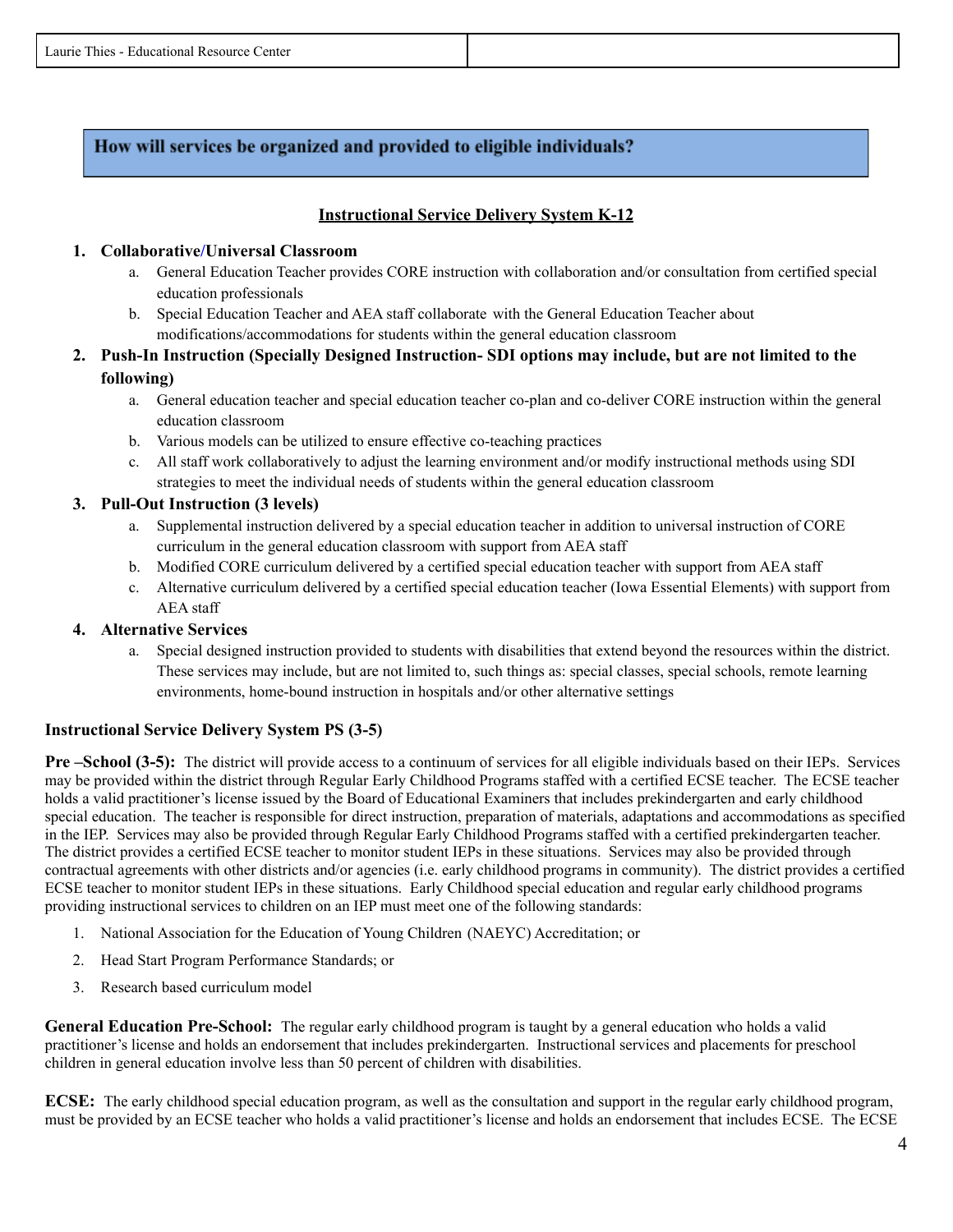#### How will services be organized and provided to eligible individuals?

#### **Instructional Service Delivery System K-12**

#### **1. Collaborative/Universal Classroom**

- a. General Education Teacher provides CORE instruction with collaboration and/or consultation from certified special education professionals
- b. Special Education Teacher and AEA staff collaborate with the General Education Teacher about modifications/accommodations for students within the general education classroom
- **2. Push-In Instruction (Specially Designed Instruction- SDI options may include, but are not limited to the following)**
	- a. General education teacher and special education teacher co-plan and co-deliver CORE instruction within the general education classroom
	- b. Various models can be utilized to ensure effective co-teaching practices
	- c. All staff work collaboratively to adjust the learning environment and/or modify instructional methods using SDI strategies to meet the individual needs of students within the general education classroom

#### **3. Pull-Out Instruction (3 levels)**

- a. Supplemental instruction delivered by a special education teacher in addition to universal instruction of CORE curriculum in the general education classroom with support from AEA staff
- b. Modified CORE curriculum delivered by a certified special education teacher with support from AEA staff
- c. Alternative curriculum delivered by a certified special education teacher (Iowa Essential Elements) with support from AEA staff

#### **4. Alternative Services**

a. Special designed instruction provided to students with disabilities that extend beyond the resources within the district. These services may include, but are not limited to, such things as: special classes, special schools, remote learning environments, home-bound instruction in hospitals and/or other alternative settings

#### **Instructional Service Delivery System PS (3-5)**

**Pre –School (3-5):** The district will provide access to a continuum of services for all eligible individuals based on their IEPs. Services may be provided within the district through Regular Early Childhood Programs staffed with a certified ECSE teacher. The ECSE teacher holds a valid practitioner's license issued by the Board of Educational Examiners that includes prekindergarten and early childhood special education. The teacher is responsible for direct instruction, preparation of materials, adaptations and accommodations as specified in the IEP. Services may also be provided through Regular Early Childhood Programs staffed with a certified prekindergarten teacher. The district provides a certified ECSE teacher to monitor student IEPs in these situations. Services may also be provided through contractual agreements with other districts and/or agencies (i.e. early childhood programs in community). The district provides a certified ECSE teacher to monitor student IEPs in these situations. Early Childhood special education and regular early childhood programs providing instructional services to children on an IEP must meet one of the following standards:

- 1. National Association for the Education of Young Children (NAEYC) Accreditation; or
- 2. Head Start Program Performance Standards; or
- 3. Research based curriculum model

**General Education Pre-School:** The regular early childhood program is taught by a general education who holds a valid practitioner's license and holds an endorsement that includes prekindergarten. Instructional services and placements for preschool children in general education involve less than 50 percent of children with disabilities.

**ECSE:** The early childhood special education program, as well as the consultation and support in the regular early childhood program, must be provided by an ECSE teacher who holds a valid practitioner's license and holds an endorsement that includes ECSE. The ECSE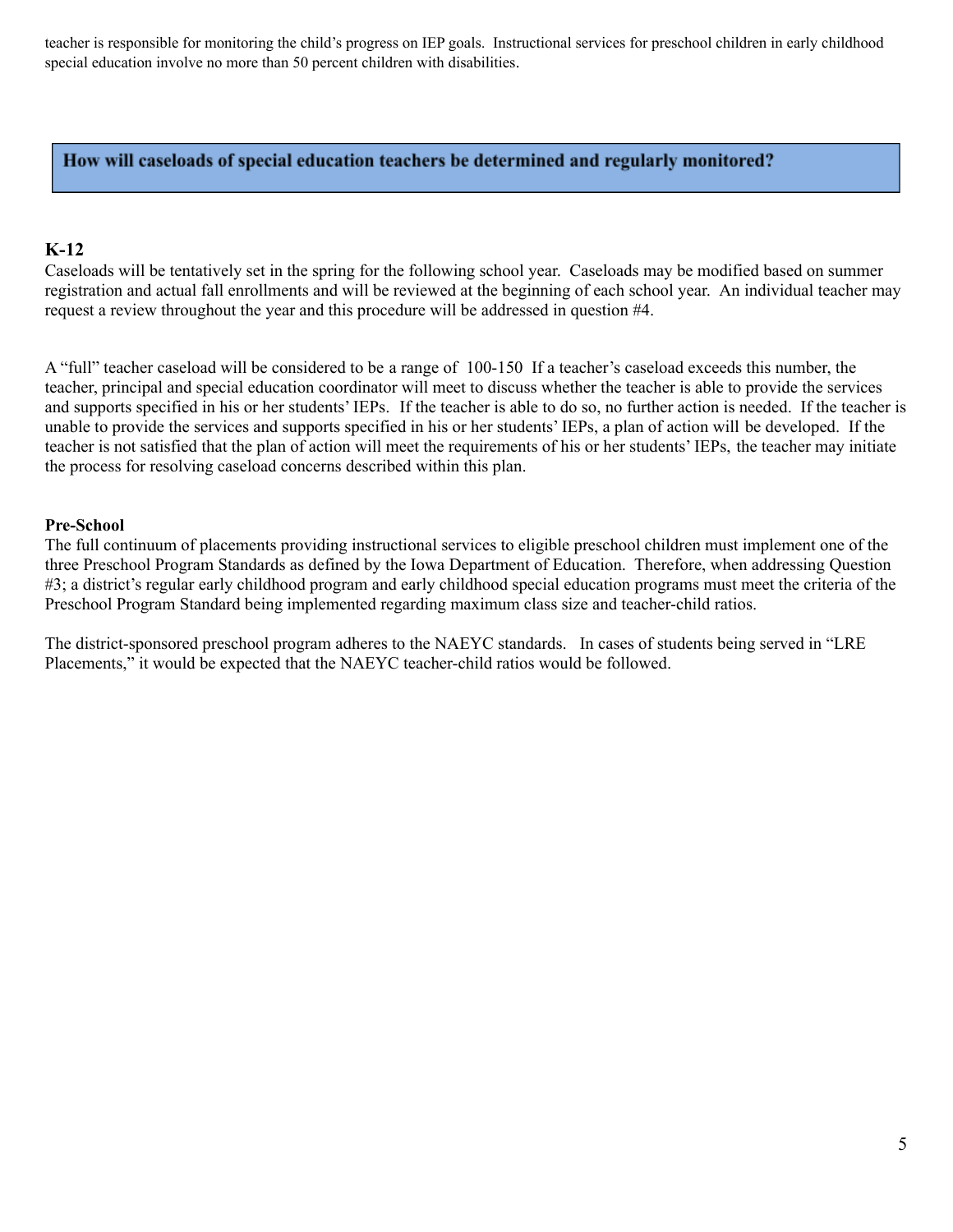teacher is responsible for monitoring the child's progress on IEP goals. Instructional services for preschool children in early childhood special education involve no more than 50 percent children with disabilities.

#### How will caseloads of special education teachers be determined and regularly monitored?

#### **K-12**

Caseloads will be tentatively set in the spring for the following school year. Caseloads may be modified based on summer registration and actual fall enrollments and will be reviewed at the beginning of each school year. An individual teacher may request a review throughout the year and this procedure will be addressed in question #4.

A "full" teacher caseload will be considered to be a range of 100-150 If a teacher's caseload exceeds this number, the teacher, principal and special education coordinator will meet to discuss whether the teacher is able to provide the services and supports specified in his or her students' IEPs. If the teacher is able to do so, no further action is needed. If the teacher is unable to provide the services and supports specified in his or her students' IEPs, a plan of action will be developed. If the teacher is not satisfied that the plan of action will meet the requirements of his or her students' IEPs, the teacher may initiate the process for resolving caseload concerns described within this plan.

#### **Pre-School**

The full continuum of placements providing instructional services to eligible preschool children must implement one of the three Preschool Program Standards as defined by the Iowa Department of Education. Therefore, when addressing Question #3; a district's regular early childhood program and early childhood special education programs must meet the criteria of the Preschool Program Standard being implemented regarding maximum class size and teacher-child ratios.

The district-sponsored preschool program adheres to the NAEYC standards. In cases of students being served in "LRE Placements," it would be expected that the NAEYC teacher-child ratios would be followed.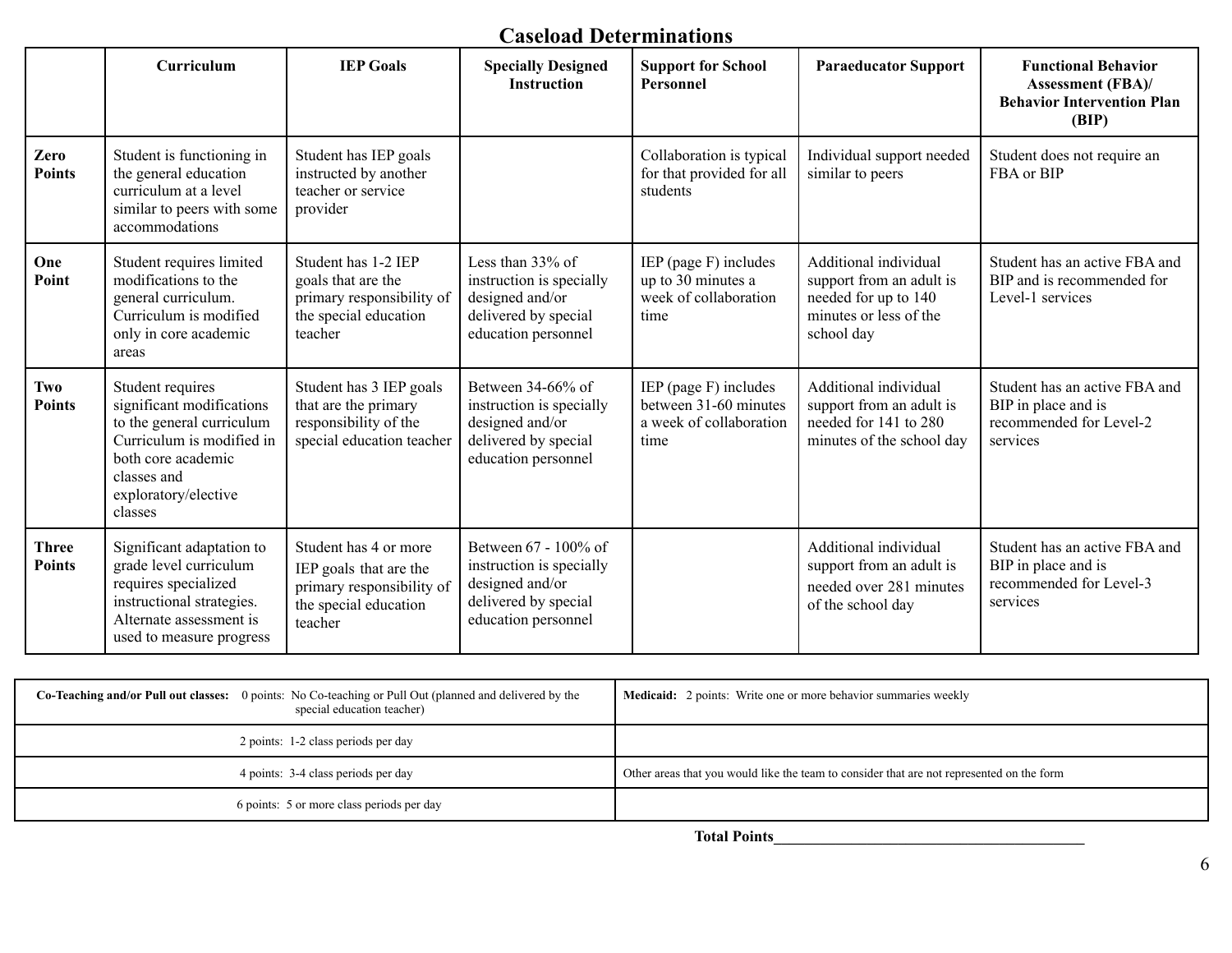### **Caseload Determinations**

|                               | Curriculum                                                                                                                                                                      | <b>IEP Goals</b>                                                                                                 | <b>Specially Designed</b><br><b>Instruction</b>                                                                    | <b>Support for School</b><br>Personnel                                            | <b>Paraeducator Support</b>                                                                                       | <b>Functional Behavior</b><br><b>Assessment (FBA)/</b><br><b>Behavior Intervention Plan</b><br>(BIP) |
|-------------------------------|---------------------------------------------------------------------------------------------------------------------------------------------------------------------------------|------------------------------------------------------------------------------------------------------------------|--------------------------------------------------------------------------------------------------------------------|-----------------------------------------------------------------------------------|-------------------------------------------------------------------------------------------------------------------|------------------------------------------------------------------------------------------------------|
| Zero<br><b>Points</b>         | Student is functioning in<br>the general education<br>curriculum at a level<br>similar to peers with some<br>accommodations                                                     | Student has IEP goals<br>instructed by another<br>teacher or service<br>provider                                 |                                                                                                                    | Collaboration is typical<br>for that provided for all<br>students                 | Individual support needed<br>similar to peers                                                                     | Student does not require an<br>FBA or BIP                                                            |
| One<br>Point                  | Student requires limited<br>modifications to the<br>general curriculum.<br>Curriculum is modified<br>only in core academic<br>areas                                             | Student has 1-2 IEP<br>goals that are the<br>primary responsibility of<br>the special education<br>teacher       | Less than $33\%$ of<br>instruction is specially<br>designed and/or<br>delivered by special<br>education personnel  | IEP (page F) includes<br>up to 30 minutes a<br>week of collaboration<br>time      | Additional individual<br>support from an adult is<br>needed for up to 140<br>minutes or less of the<br>school day | Student has an active FBA and<br>BIP and is recommended for<br>Level-1 services                      |
| <b>Two</b><br><b>Points</b>   | Student requires<br>significant modifications<br>to the general curriculum<br>Curriculum is modified in<br>both core academic<br>classes and<br>exploratory/elective<br>classes | Student has 3 IEP goals<br>that are the primary<br>responsibility of the<br>special education teacher            | Between 34-66% of<br>instruction is specially<br>designed and/or<br>delivered by special<br>education personnel    | IEP (page F) includes<br>between 31-60 minutes<br>a week of collaboration<br>time | Additional individual<br>support from an adult is<br>needed for 141 to 280<br>minutes of the school day           | Student has an active FBA and<br>BIP in place and is<br>recommended for Level-2<br>services          |
| <b>Three</b><br><b>Points</b> | Significant adaptation to<br>grade level curriculum<br>requires specialized<br>instructional strategies.<br>Alternate assessment is<br>used to measure progress                 | Student has 4 or more<br>IEP goals that are the<br>primary responsibility of<br>the special education<br>teacher | Between 67 - 100% of<br>instruction is specially<br>designed and/or<br>delivered by special<br>education personnel |                                                                                   | Additional individual<br>support from an adult is<br>needed over 281 minutes<br>of the school day                 | Student has an active FBA and<br>BIP in place and is<br>recommended for Level-3<br>services          |

| <b>Co-Teaching and/or Pull out classes:</b> 0 points: No Co-teaching or Pull Out (planned and delivered by the<br>special education teacher) | <b>Medicaid:</b> 2 points: Write one or more behavior summaries weekly                    |
|----------------------------------------------------------------------------------------------------------------------------------------------|-------------------------------------------------------------------------------------------|
| 2 points: 1-2 class periods per day                                                                                                          |                                                                                           |
| 4 points: 3-4 class periods per day                                                                                                          | Other areas that you would like the team to consider that are not represented on the form |
| 6 points: 5 or more class periods per day                                                                                                    |                                                                                           |

**Total Points\_\_\_\_\_\_\_\_\_\_\_\_\_\_\_\_\_\_\_\_\_\_\_\_\_\_\_\_\_\_\_\_\_\_\_\_\_\_\_\_**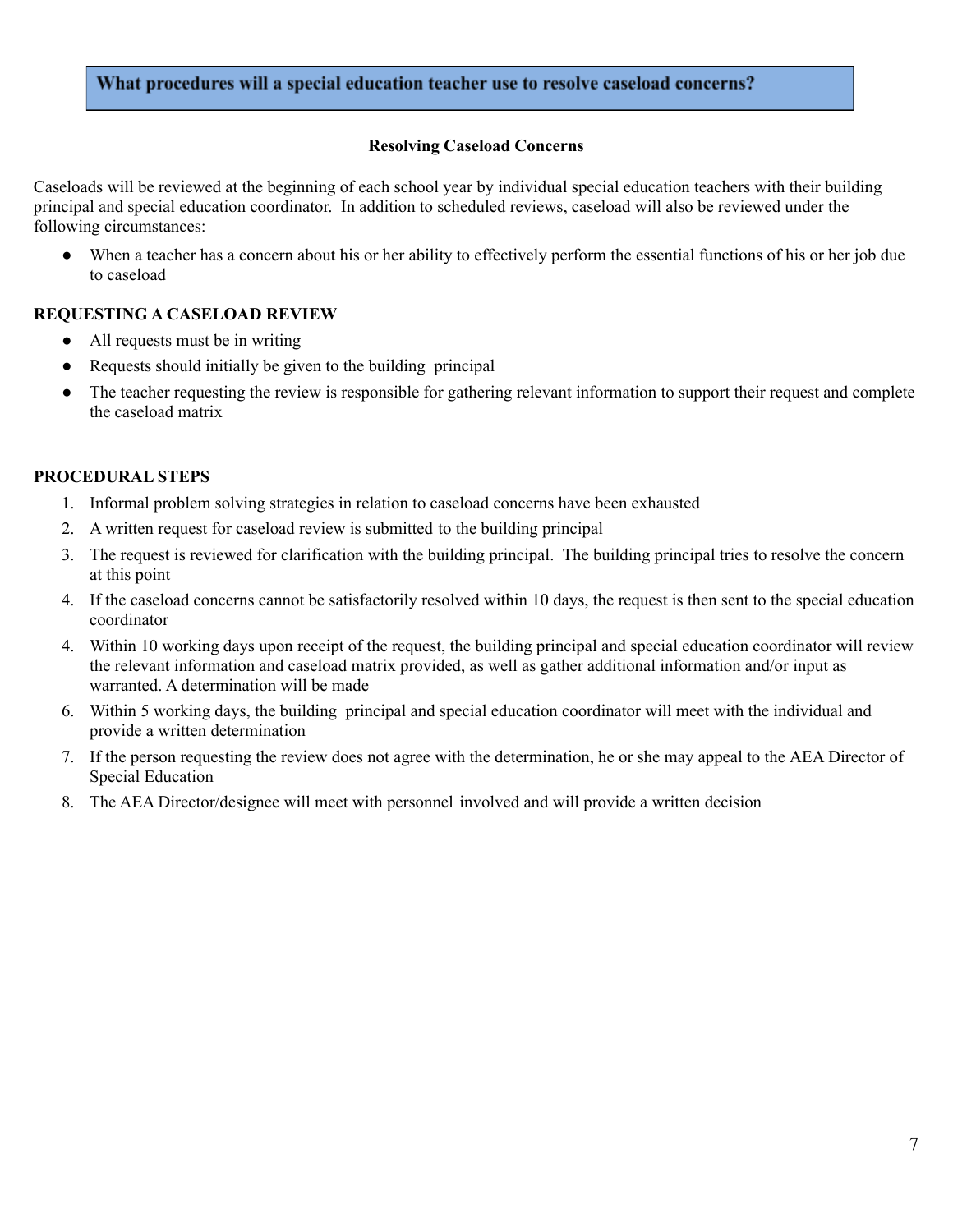#### What procedures will a special education teacher use to resolve caseload concerns?

#### **Resolving Caseload Concerns**

Caseloads will be reviewed at the beginning of each school year by individual special education teachers with their building principal and special education coordinator. In addition to scheduled reviews, caseload will also be reviewed under the following circumstances:

● When a teacher has a concern about his or her ability to effectively perform the essential functions of his or her job due to caseload

#### **REQUESTING A CASELOAD REVIEW**

- All requests must be in writing
- Requests should initially be given to the building principal
- The teacher requesting the review is responsible for gathering relevant information to support their request and complete the caseload matrix

#### **PROCEDURAL STEPS**

- 1. Informal problem solving strategies in relation to caseload concerns have been exhausted
- 2. A written request for caseload review is submitted to the building principal
- 3. The request is reviewed for clarification with the building principal. The building principal tries to resolve the concern at this point
- 4. If the caseload concerns cannot be satisfactorily resolved within 10 days, the request is then sent to the special education coordinator
- 4. Within 10 working days upon receipt of the request, the building principal and special education coordinator will review the relevant information and caseload matrix provided, as well as gather additional information and/or input as warranted. A determination will be made
- 6. Within 5 working days, the building principal and special education coordinator will meet with the individual and provide a written determination
- 7. If the person requesting the review does not agree with the determination, he or she may appeal to the AEA Director of Special Education
- 8. The AEA Director/designee will meet with personnel involved and will provide a written decision